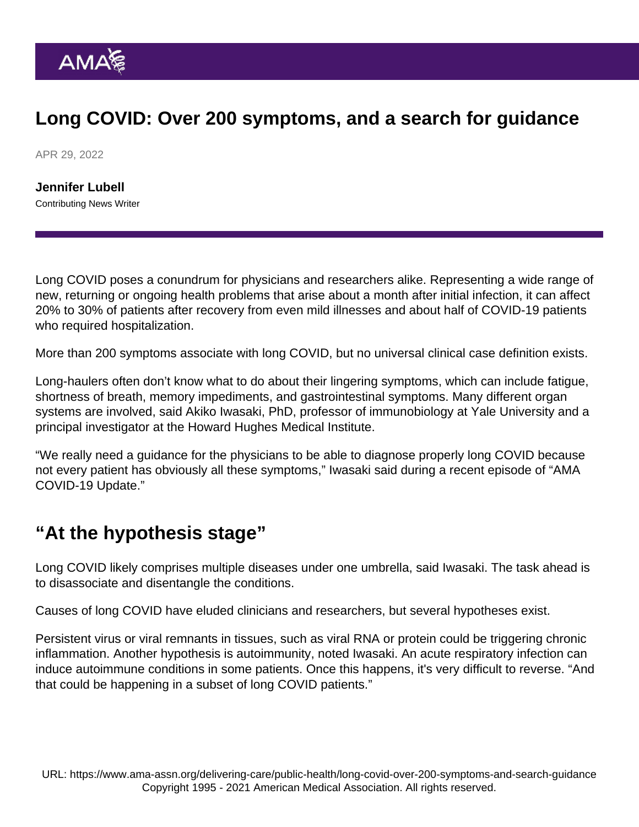## Long COVID: Over 200 symptoms, and a search for guidance

APR 29, 2022

[Jennifer Lubell](https://www.ama-assn.org/news-leadership-viewpoints/authors-news-leadership-viewpoints/jennifer-lubell) Contributing News Writer

Long COVID poses a conundrum for physicians and researchers alike. Representing a wide range of new, returning or ongoing health problems that arise about a month after initial infection, it can affect 20% to 30% of patients after recovery from even mild illnesses and about half of COVID-19 patients who required hospitalization.

More than 200 symptoms associate with long COVID, but no universal clinical case definition exists.

Long-haulers often don't know what to do about their lingering symptoms, which can include fatigue, shortness of breath, memory impediments, and gastrointestinal symptoms. Many different organ systems are involved, said Akiko Iwasaki, PhD, professor of immunobiology at Yale University and a principal investigator at the Howard Hughes Medical Institute.

"We really need a guidance for the physicians to be able to diagnose properly long COVID because not every patient has obviously all these symptoms," Iwasaki said [during a recent episode](https://www.ama-assn.org/delivering-care/public-health/akiko-iwasaki-phd-latest-long-covid-19-research) of ["AMA](https://www.ama-assn.org/series/moving-medicine-video-series) [COVID-19 Update](https://www.ama-assn.org/series/moving-medicine-video-series)."

## "At the hypothesis stage"

Long COVID likely comprises multiple diseases under one umbrella, said Iwasaki. The task ahead is to disassociate and disentangle the conditions.

Causes of long COVID have eluded clinicians and researchers, but several hypotheses exist.

Persistent virus or viral remnants in tissues, such as viral RNA or protein could be triggering chronic inflammation. Another hypothesis is autoimmunity, noted Iwasaki. An acute respiratory infection can induce autoimmune conditions in some patients. Once this happens, it's very difficult to reverse. "And that could be happening in a subset of long COVID patients."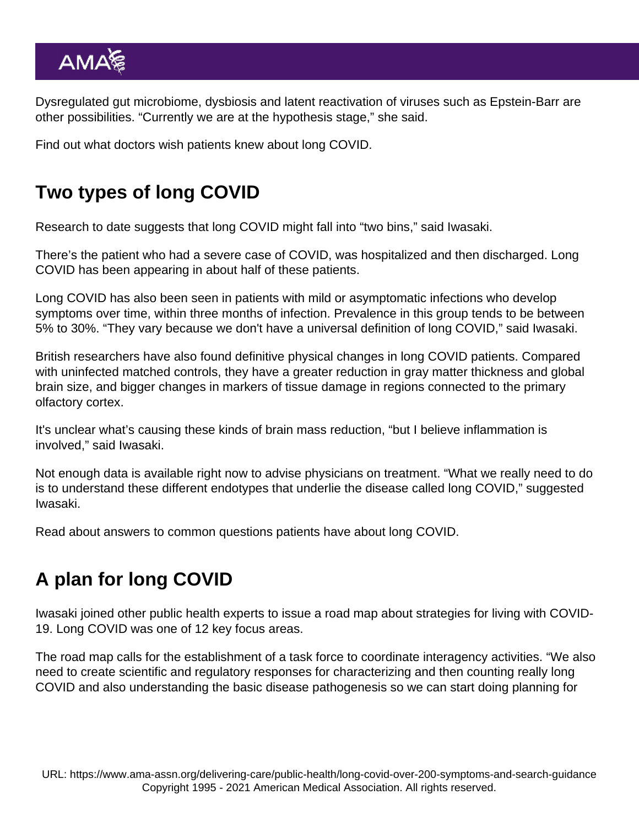Dysregulated gut microbiome, dysbiosis and latent reactivation of viruses such as Epstein-Barr are other possibilities. "Currently we are at the hypothesis stage," she said.

Find out what [doctors wish patients knew about long COVID](https://www.ama-assn.org/delivering-care/public-health/what-doctors-wish-patients-knew-about-long-covid).

## Two types of long COVID

Research to date suggests that long COVID might fall into "two bins," said Iwasaki.

There's the patient who had a severe case of COVID, was hospitalized and then discharged. Long COVID has been appearing in about half of these patients.

Long COVID has also been seen in patients with mild or asymptomatic infections who develop symptoms over time, within three months of infection. Prevalence in this group tends to be between 5% to 30%. "They vary because we don't have a universal definition of long COVID," said Iwasaki.

British researchers have also found definitive physical changes in long COVID patients. Compared with uninfected matched controls, they have a greater reduction in gray matter thickness and global brain size, and bigger changes in markers of tissue damage in regions connected to the primary olfactory cortex.

It's unclear what's causing these kinds of brain mass reduction, "but I believe inflammation is involved," said Iwasaki.

Not enough data is available right now to advise physicians on treatment. "What we really need to do is to understand these different endotypes that underlie the disease called long COVID," suggested Iwasaki.

Read about answers to [common questions patients have about long COVID.](https://www.ama-assn.org/delivering-care/public-health/covid-long-haulers-questions-patients-have-about-symptoms)

## A plan for long COVID

Iwasaki joined other public health experts to issue a [road map about strategies for living with COVID-](https://www.covidroadmap.org/)[19](https://www.covidroadmap.org/). Long COVID was one of 12 key focus areas.

The road map calls for the establishment of a task force to coordinate interagency activities. "We also need to create scientific and regulatory responses for characterizing and then counting really long COVID and also understanding the basic disease pathogenesis so we can start doing planning for